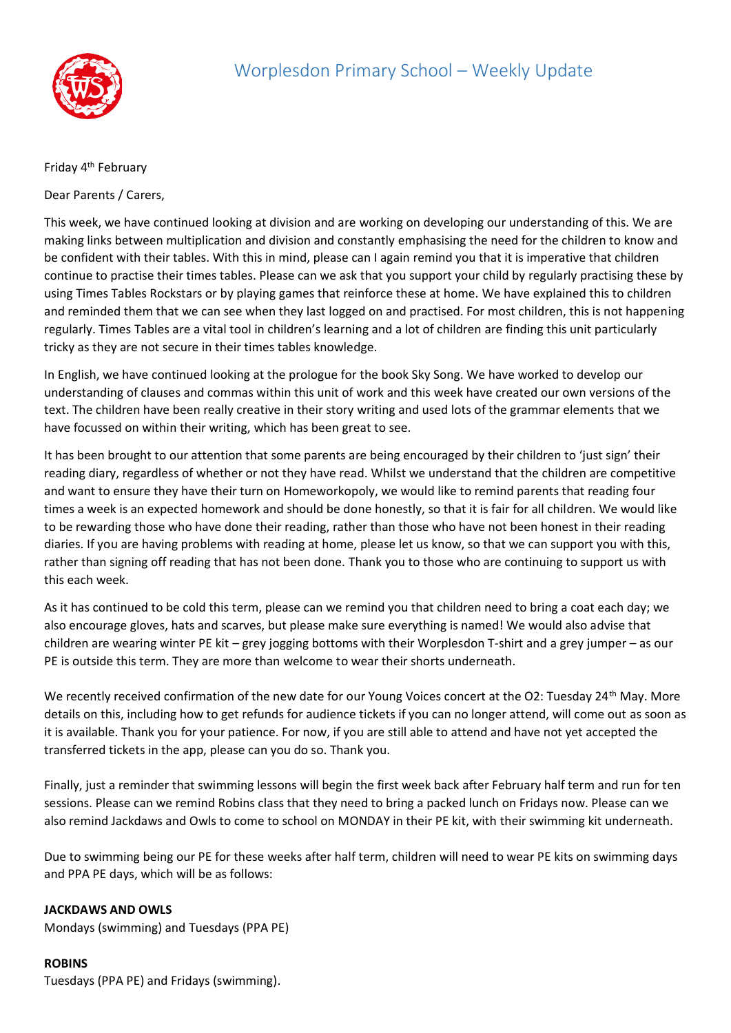

## Friday 4<sup>th</sup> February

Dear Parents / Carers,

This week, we have continued looking at division and are working on developing our understanding of this. We are making links between multiplication and division and constantly emphasising the need for the children to know and be confident with their tables. With this in mind, please can I again remind you that it is imperative that children continue to practise their times tables. Please can we ask that you support your child by regularly practising these by using Times Tables Rockstars or by playing games that reinforce these at home. We have explained this to children and reminded them that we can see when they last logged on and practised. For most children, this is not happening regularly. Times Tables are a vital tool in children's learning and a lot of children are finding this unit particularly tricky as they are not secure in their times tables knowledge.

In English, we have continued looking at the prologue for the book Sky Song. We have worked to develop our understanding of clauses and commas within this unit of work and this week have created our own versions of the text. The children have been really creative in their story writing and used lots of the grammar elements that we have focussed on within their writing, which has been great to see.

It has been brought to our attention that some parents are being encouraged by their children to 'just sign' their reading diary, regardless of whether or not they have read. Whilst we understand that the children are competitive and want to ensure they have their turn on Homeworkopoly, we would like to remind parents that reading four times a week is an expected homework and should be done honestly, so that it is fair for all children. We would like to be rewarding those who have done their reading, rather than those who have not been honest in their reading diaries. If you are having problems with reading at home, please let us know, so that we can support you with this, rather than signing off reading that has not been done. Thank you to those who are continuing to support us with this each week.

As it has continued to be cold this term, please can we remind you that children need to bring a coat each day; we also encourage gloves, hats and scarves, but please make sure everything is named! We would also advise that children are wearing winter PE kit – grey jogging bottoms with their Worplesdon T-shirt and a grey jumper – as our PE is outside this term. They are more than welcome to wear their shorts underneath.

We recently received confirmation of the new date for our Young Voices concert at the O2: Tuesday 24<sup>th</sup> May. More details on this, including how to get refunds for audience tickets if you can no longer attend, will come out as soon as it is available. Thank you for your patience. For now, if you are still able to attend and have not yet accepted the transferred tickets in the app, please can you do so. Thank you.

Finally, just a reminder that swimming lessons will begin the first week back after February half term and run for ten sessions. Please can we remind Robins class that they need to bring a packed lunch on Fridays now. Please can we also remind Jackdaws and Owls to come to school on MONDAY in their PE kit, with their swimming kit underneath.

Due to swimming being our PE for these weeks after half term, children will need to wear PE kits on swimming days and PPA PE days, which will be as follows:

## **JACKDAWS AND OWLS**

Mondays (swimming) and Tuesdays (PPA PE)

## **ROBINS**

Tuesdays (PPA PE) and Fridays (swimming).